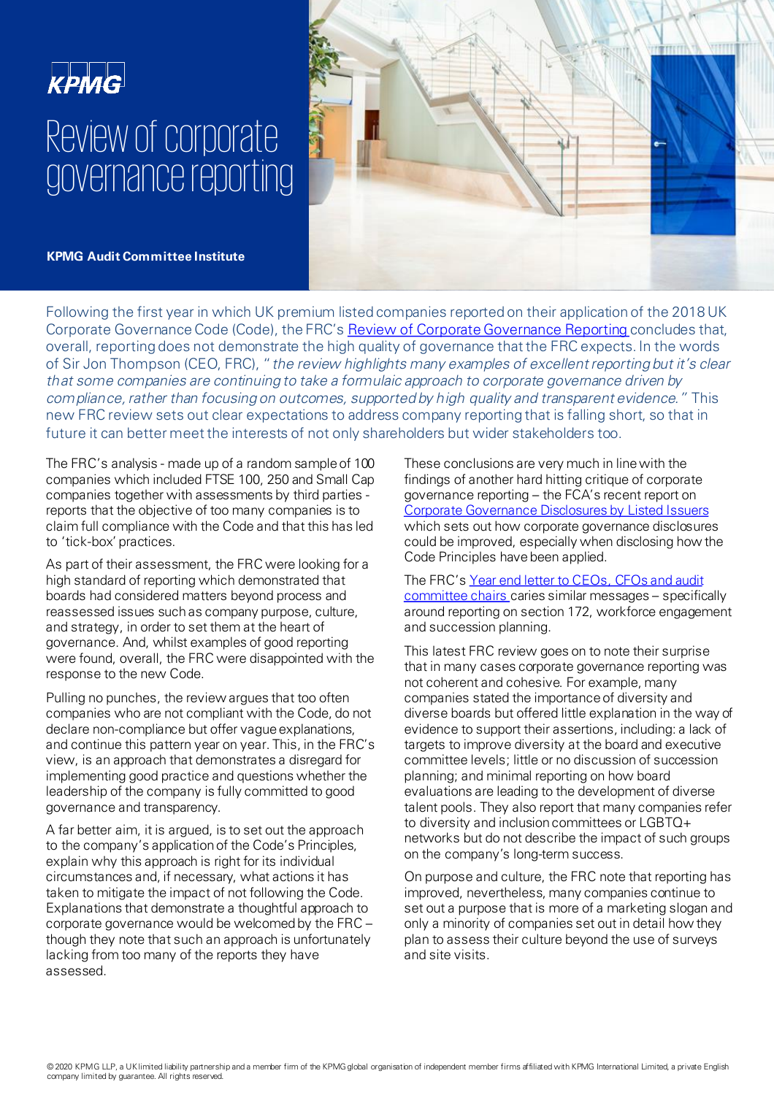# **KPMG** Review of corporate governance reporting



**KPMG Audit Committee Institute** 

Following the first year in which UK premium listed companies reported on their application of the 2018 UK Corporate Governance Code (Code), the FRC's [Review of Corporate Governance Reporting c](https://www.frc.org.uk/getattachment/c22f7296-0839-420e-ae03-bdce3e157702/Governance-Report-2020-2611.pdf)oncludes that, overall, reporting does not demonstrate the high quality of governance that the FRC expects. In the words of Sir Jon Thompson (CEO, FRC), "the review highlights many examples of excellent reporting but it's clear that some companies are continuing to take a formulaic approach to corporate governance driven by compliance, rather than focusing on outcomes, supported by high quality and transparent evidence." This new FRC review sets out clear expectations to address company reporting that is falling short, so that in future it can better meet the interests of not only shareholders but wider stakeholders too.

The FRC's analysis - made up of a random sample of 100 companies which included FTSE 100, 250 and Small Cap companies together with assessments by third parties reports that the objective of too many companies is to claim full compliance with the Code and that this has led to 'tick-box' practices.

As part of their assessment, the FRC were looking for a high standard of reporting which demonstrated that boards had considered matters beyond process and reassessed issues such as company purpose, culture, and strategy, in order to set them at the heart of governance. And, whilst examples of good reporting were found, overall, the FRC were disappointed with the response to the new Code.

Pulling no punches, the review argues that too often companies who are not compliant with the Code, do not declare non-compliance but offer vague explanations, and continue this pattern year on year. This, in the FRC's view, is an approach that demonstrates a disregard for implementing good practice and questions whether the leadership of the company is fully committed to good governance and transparency.

A far better aim, it is argued, is to set out the approach to the company's application of the Code's Principles, explain why this approach is right for its individual circumstances and, if necessary, what actions it has taken to mitigate the impact of not following the Code. Explanations that demonstrate a thoughtful approach to corporate governance would be welcomed by the FRC – though they note that such an approach is unfortunately lacking from too many of the reports they have assessed.

These conclusions are very much in line with the findings of another hard hitting critique of corporate governance reporting – the FCA's recent report on [Corporate Governance Disclosures by Listed Issuers](https://www.fca.org.uk/publication/primary-market/pmb-31-corporate-governance-disclosures-listed-issuers.pdf) which sets out how corporate governance disclosures could be improved, especially when disclosing how the Code Principles have been applied.

The FRC's Year end letter to CEOs, CFOs and audit [committee chairs caries similar messages](https://www.frc.org.uk/getattachment/d0448212-fe6c-4752-8abb-aeb414510fec/FRC_Year_End_Letter_Nov_2020_Final.pdf) – specifically around reporting on section 172, workforce engagement and succession planning.

This latest FRC review goes on to note their surprise that in many cases corporate governance reporting was not coherent and cohesive. For example, many companies stated the importance of diversity and diverse boards but offered little explanation in the way of evidence to support their assertions, including: a lack of targets to improve diversity at the board and executive committee levels; little or no discussion of succession planning; and minimal reporting on how board evaluations are leading to the development of diverse talent pools. They also report that many companies refer to diversity and inclusion committees or LGBTQ+ networks but do not describe the impact of such groups on the company's long-term success.

On purpose and culture, the FRC note that reporting has improved, nevertheless, many companies continue to set out a purpose that is more of a marketing slogan and only a minority of companies set out in detail how they plan to assess their culture beyond the use of surveys and site visits.